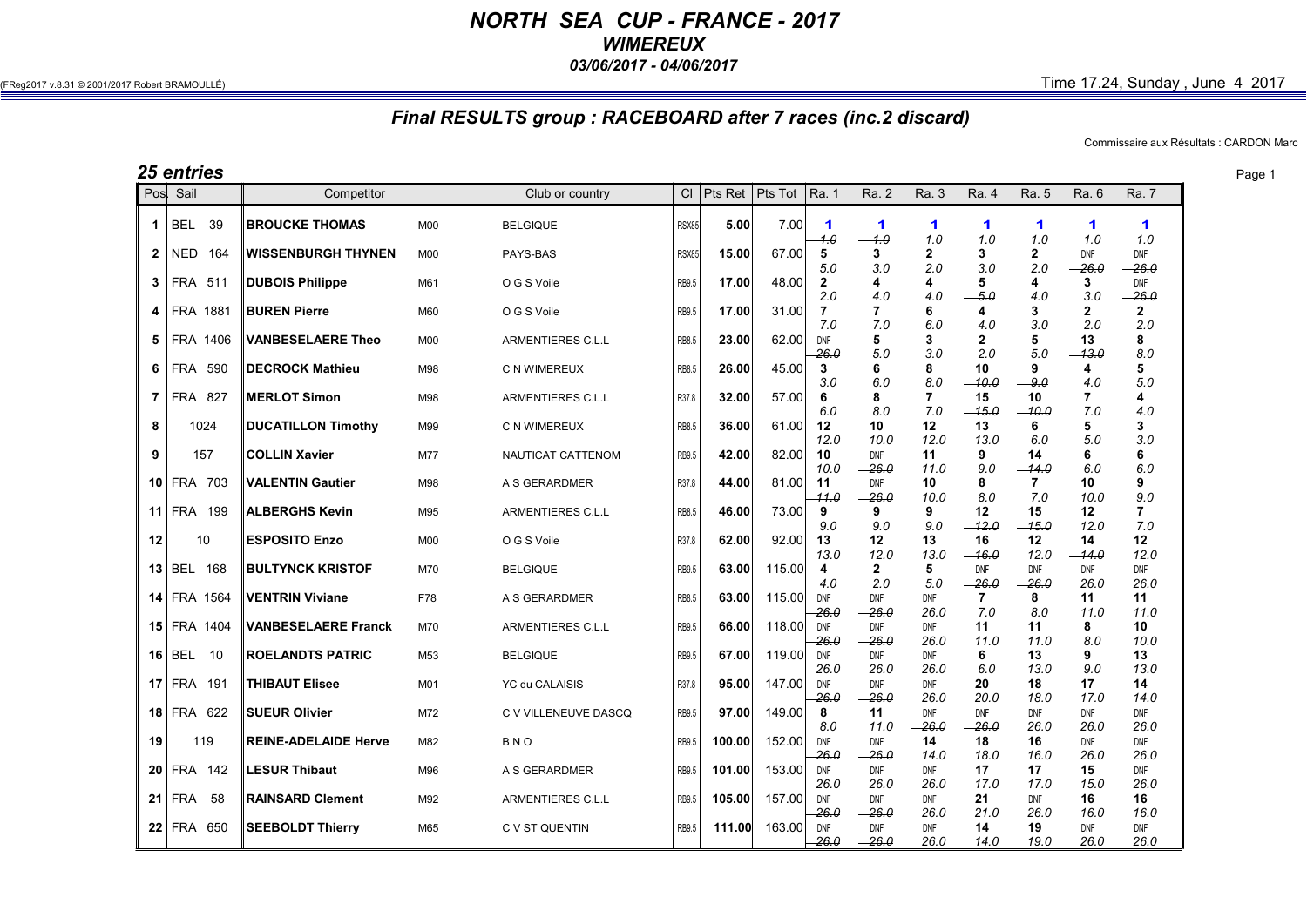## *NORTH SEA CUP - FRANCE - 2017 WIMEREUX 03/06/2017 - 04/06/2017*

## $(FReg2017 v.8.31 © 2001/2017 Robert BRAMOULLÉ)$  Time  $17.24$ , Sunday , June  $4$  2017

## *Final RESULTS group : RACEBOARD after 7 races (inc.2 discard)*

Commissaire aux Résultats : CARDON Marc

|             | <b>25 entries</b>  |      |                             |            |                          |              |              |         |                       |                        |                       |                       |                           |                             |                              | Page 1 |
|-------------|--------------------|------|-----------------------------|------------|--------------------------|--------------|--------------|---------|-----------------------|------------------------|-----------------------|-----------------------|---------------------------|-----------------------------|------------------------------|--------|
|             | Pos Sail           |      | Competitor                  |            | Club or country          |              | $Cl$ Pts Ret | Pts Tot | Ra. 1                 | Ra. 2                  | Ra. 3                 | Ra. 4                 | Ra. 5                     | Ra. 6                       | <b>Ra. 7</b>                 |        |
| 1           | <b>BEL</b>         | 39   | <b>BROUCKE THOMAS</b>       | M00        | <b>BELGIQUE</b>          | <b>RSX85</b> | 5.00         | 7.00    | $\mathbf 1$<br>1.0    | $\mathbf 1$<br>$-1.0$  | 1<br>1.0              | 1<br>1.0              | 1<br>1.0                  | $\blacktriangleleft$<br>1.0 | 1<br>1.0                     |        |
| 2           | <b>NED</b>         | 164  | <b>WISSENBURGH THYNEN</b>   | M00        | PAYS-BAS                 | RSX85        | 15.00        | 67.00   | 5                     | 3                      | $\mathbf{2}$          | 3                     | $\mathbf{2}$              | <b>DNF</b>                  | <b>DNF</b>                   |        |
| 3           | <b>FRA 511</b>     |      | <b>DUBOIS Philippe</b>      | M61        | O G S Voile              | RB9.5        | 17.00        | 48.00   | 5.0<br>$\overline{2}$ | 3.0<br>4               | 2.0<br>4              | 3.0<br>5              | 2.0<br>4                  | $-26.0$<br>3                | $-26.0$<br>DNF               |        |
| 4           | <b>FRA 1881</b>    |      | <b>BUREN Pierre</b>         | M60        | O G S Voile              | RB9.5        | 17.00        | 31.00   | 2.0<br>$\overline{7}$ | 4.0<br>7               | 4.0<br>6              | $-5.0$<br>4           | 4.0<br>3                  | 3.0<br>$\mathbf{2}$         | $-26.0$<br>$\mathbf{2}$      |        |
| 5.          | FRA 1406           |      | <b>VANBESELAERE Theo</b>    | M00        | ARMENTIERES C.L.L        | RB8.5        | 23.00        | 62.00   | 7.0<br>DNF            | $-7.0$<br>5            | 6.0<br>3              | 4.0<br>2              | 3.0<br>5                  | 2.0<br>13                   | 2.0<br>8                     |        |
| 6           | <b>FRA 590</b>     |      | <b>DECROCK Mathieu</b>      | M98        | C N WIMEREUX             | RB8.5        | 26.00        | 45.00   | 26.0<br>3             | 5.0<br>6               | 3.0<br>8              | 2.0<br>10             | 5.0<br>9                  | $-13.0$<br>4                | 8.0<br>5                     |        |
| $7^{\circ}$ | <b>FRA 827</b>     |      | <b>MERLOT Simon</b>         | M98        | ARMENTIERES C.L.L        | R37.8        | 32.00        | 57.00   | 3.0<br>6              | 6.0<br>8               | 8.0<br>$\overline{7}$ | $-10.0$<br>15         | - 9.0<br>10               | 4.0<br>7                    | 5.0<br>4                     |        |
| 8           |                    | 1024 | <b>DUCATILLON Timothy</b>   | M99        | C N WIMEREUX             | <b>RB8.5</b> | 36.00        | 61.00   | 6.0<br>12             | 8.0<br>10              | 7.0<br>12             | $-15.0$<br>13         | $-10.0$<br>6              | 7.0<br>5                    | 4.0<br>3                     |        |
| 9           |                    | 157  | <b>COLLIN Xavier</b>        | M77        | NAUTICAT CATTENOM        | <b>RB9.5</b> | 42.00        | 82.00   | 12.0<br>10            | 10.0<br>DNF            | 12.0<br>11            | $-13.0$<br>9          | 6.0<br>14                 | 5.0<br>6.                   | 3.0<br>6                     |        |
|             | 10 FRA 703         |      | <b>VALENTIN Gautier</b>     | M98        | A S GERARDMER            | R37.8        | 44.00        | 81.00   | 10.0<br>11            | $-26.0$<br>DNF         | 11.0<br>10            | 9.0<br>8              | $-14.0$<br>$\overline{7}$ | 6.0<br>10                   | 6.0<br>9                     |        |
|             | <b>11 FRA 199</b>  |      | <b>ALBERGHS Kevin</b>       | M95        | ARMENTIERES C.L.L        | RB8.5        | 46.00        | 73.00   | 11.0<br>9             | $-26.0$<br>9           | 10.0<br>9<br>9.0      | 8.0<br>12             | 7.0<br>15                 | 10.0<br>12                  | 9.0<br>$\overline{7}$<br>7.0 |        |
| 12          |                    | 10   | <b>ESPOSITO Enzo</b>        | <b>M00</b> | O G S Voile              | R37.8        | 62.00        | 92.00   | 9.0<br>13             | 9.0<br>12 <sup>°</sup> | 13                    | $-12.0$<br>16         | $-15.0$<br>12             | 12.0<br>14                  | 12                           |        |
|             | 13 BEL 168         |      | <b>BULTYNCK KRISTOF</b>     | M70        | <b>BELGIQUE</b>          | <b>RB9.5</b> | 63.00        | 115.00  | 13.0<br>4             | 12.0<br>$\mathbf{2}$   | 13.0<br>5             | $-16.0$<br><b>DNF</b> | 12.0<br><b>DNF</b>        | $-14.0$<br><b>DNF</b>       | 12.0<br><b>DNF</b>           |        |
|             | <b>14 FRA 1564</b> |      | <b>VENTRIN Viviane</b>      | F78        | A S GERARDMER            | <b>RB8.5</b> | 63.00        | 115.00  | 4.0<br>DNF            | 2.0<br><b>DNF</b>      | 5.0<br><b>DNF</b>     | $-26.0$<br>7          | $-26.0$<br>8              | 26.0<br>11                  | 26.0<br>11                   |        |
|             | <b>15 FRA 1404</b> |      | <b>VANBESELAERE Franck</b>  | M70        | <b>ARMENTIERES C.L.L</b> | RB9.5        | 66.00        | 118.00  | 26.0<br>DNF           | $-26.0$<br><b>DNF</b>  | 26.0<br><b>DNF</b>    | 7.0<br>11             | 8.0<br>11                 | 11.0<br>8                   | 11.0<br>10                   |        |
|             | $16 $ BEL          | 10   | <b>ROELANDTS PATRIC</b>     | M53        | <b>BELGIQUE</b>          | RB9.5        | 67.00        | 119.00  | 26.0<br>DNF           | $-26.0$<br>DNF         | 26.0<br>DNF           | 11.0<br>6             | 11.0<br>13                | 8.0<br>9                    | 10.0<br>13                   |        |
|             | $17$ FRA 191       |      | <b>THIBAUT Elisee</b>       | M01        | YC du CALAISIS           | R37.8        | 95.00        | 147.00  | 26.0<br>DNF           | $-26.0$<br><b>DNF</b>  | 26.0<br><b>DNF</b>    | 6.0<br>20             | 13.0<br>18                | 9.0<br>17                   | 13.0<br>14                   |        |
|             | 18 FRA 622         |      | <b>SUEUR Olivier</b>        | M72        | C V VILLENEUVE DASCQ     | RB9.5        | 97.00        | 149.00  | 26.0<br>8             | $-26.0$<br>11          | 26.0<br><b>DNF</b>    | 20.0<br><b>DNF</b>    | 18.0<br><b>DNF</b>        | 17.0<br><b>DNF</b>          | 14.0<br><b>DNF</b>           |        |
| 19          |                    | 119  | <b>REINE-ADELAIDE Herve</b> | M82        | <b>BNO</b>               | <b>RB9.5</b> | 100.00       | 152.00  | 8.0<br>DNF            | 11.0<br><b>DNF</b>     | $-26.0$<br>14         | $-26.0$<br>18         | 26.0<br>16                | 26.0<br><b>DNF</b>          | 26.0<br><b>DNF</b>           |        |
|             | 20 FRA 142         |      | <b>LESUR Thibaut</b>        | M96        | A S GERARDMER            | RB9.5        | 101.00       | 153.00  | $-26.0$<br>DNF        | $-26.0$<br>DNF         | 14.0<br>DNF           | 18.0<br>17            | 16.0<br>17                | 26.0<br>15                  | 26.0<br>DNF                  |        |
|             | $21$ FRA           | 58   | <b>RAINSARD Clement</b>     | M92        | ARMENTIERES C.L.L        | RB9.5        | 105.00       | 157.00  | -26.0<br>DNF          | $-26.0$<br><b>DNF</b>  | 26.0<br>DNF           | 17.0<br>21            | 17.0<br><b>DNF</b>        | 15.0<br>16                  | 26.0<br>16                   |        |
|             | 22 FRA 650         |      | <b>SEEBOLDT Thierry</b>     | M65        | C V ST QUENTIN           | <b>RB9.5</b> | 111.00       | 163.00  | 26.0<br>DNF           | $-26.0$<br><b>DNF</b>  | 26.0<br>DNF           | 21.0<br>14            | 26.0<br>19                | 16.0<br>DNF                 | 16.0<br>DNF                  |        |
|             |                    |      |                             |            |                          |              |              |         | -26.0                 | $-26.0$                | 26.0                  | 14.0                  | 19.0                      | 26.0                        | 26.0                         |        |